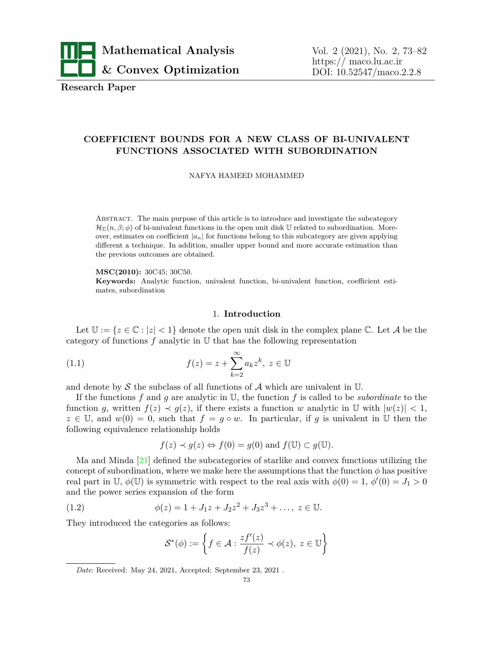

**Research Paper**

# **COEFFICIENT BOUNDS FOR A NEW CLASS OF BI-UNIVALENT FUNCTIONS ASSOCIATED WITH SUBORDINATION**

NAFYA HAMEED MOHAMMED

Abstract. The main purpose of this article is to introduce and investigate the subcategory  $\mathcal{H}_{\Sigma}(n,\beta;\phi)$  of bi-univalent functions in the open unit disk U related to subordination. Moreover, estimates on coefficient  $|a_n|$  for functions belong to this subcategory are given applying different a technique. In addition, smaller upper bound and more accurate estimation than the previous outcomes are obtained.

**MSC(2010):** 30C45; 30C50.

**Keywords:** Analytic function, univalent function, bi-univalent function, coefficient estimates, subordination

## <span id="page-0-0"></span>1. **Introduction**

Let  $\mathbb{U} := \{z \in \mathbb{C} : |z| < 1\}$  denote the open unit disk in the complex plane  $\mathbb{C}$ . Let A be the category of functions  $f$  analytic in  $U$  that has the following representation

(1.1) 
$$
f(z) = z + \sum_{k=2}^{\infty} a_k z^k, \ z \in \mathbb{U}
$$

and denote by  $S$  the subclass of all functions of  $A$  which are univalent in  $U$ .

If the functions *f* and *g* are analytic in U, the function *f* is called to be *subordinate* to the function *g*, written  $f(z) \prec g(z)$ , if there exists a function *w* analytic in  $\mathbb{U}$  with  $|w(z)| < 1$ ,  $z \in \mathbb{U}$ , and  $w(0) = 0$ , such that  $f = g \circ w$ . In particular, if g is univalent in U then the following equivalence relationship holds

$$
f(z) \prec g(z) \Leftrightarrow f(0) = g(0)
$$
 and  $f(\mathbb{U}) \subset g(\mathbb{U})$ .

Ma and Minda [\[21](#page-9-0)] defined the subcategories of starlike and convex functions utilizing the concept of subordination, where we make here the assumptions that the function  $\phi$  has positive real part in U,  $\phi(\mathbb{U})$  is symmetric with respect to the real axis with  $\phi(0) = 1, \, \phi'(0) = J_1 > 0$ and the power series expansion of the form

(1.2) 
$$
\phi(z) = 1 + J_1 z + J_2 z^2 + J_3 z^3 + \dots, \ z \in \mathbb{U}.
$$

They introduced the categories as follows:

<span id="page-0-1"></span>
$$
\mathcal{S}^*(\phi) := \left\{ f \in \mathcal{A} : \frac{zf'(z)}{f(z)} \prec \phi(z), \ z \in \mathbb{U} \right\}
$$

*Date*: Received: May 24, 2021, Accepted: September 23, 2021 .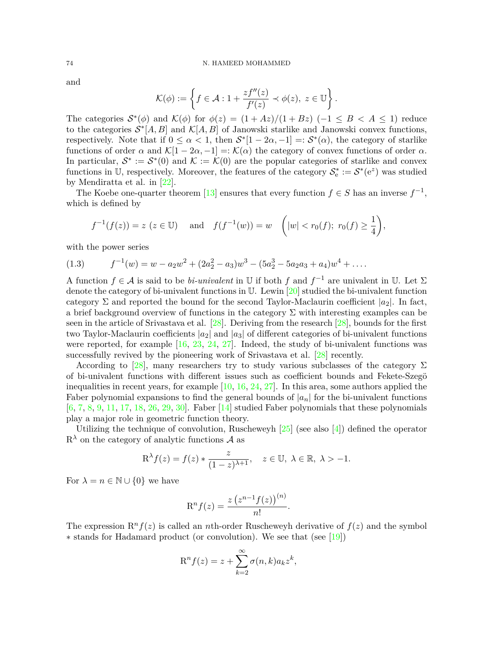and

$$
\mathcal{K}(\phi) := \left\{ f \in \mathcal{A} : 1 + \frac{zf''(z)}{f'(z)} \prec \phi(z), \ z \in \mathbb{U} \right\}.
$$

The categories  $S^*(\phi)$  and  $K(\phi)$  for  $\phi(z) = (1 + Az)/(1 + Bz)$  ( $-1 \leq B < A \leq 1$ ) reduce to the categories  $S^*[A, B]$  and  $\mathcal{K}[A, B]$  of Janowski starlike and Janowski convex functions, respectively. Note that if  $0 \leq \alpha < 1$ , then  $S^*[1 - 2\alpha, -1] =: S^*(\alpha)$ , the category of starlike functions of order  $\alpha$  and  $\mathcal{K}[1-2\alpha,-1] =: \mathcal{K}(\alpha)$  the category of convex functions of order  $\alpha$ . In particular,  $S^* := S^*(0)$  and  $K := \mathcal{K}(0)$  are the popular categories of starlike and convex functions in U, respectively. Moreover, the features of the category  $\mathcal{S}_e^* := \mathcal{S}^*(e^z)$  was studied by Mendiratta et al. in [\[22](#page-9-1)].

The Koebe one-quarter theorem [[13\]](#page-9-2) ensures that every function  $f \in S$  has an inverse  $f^{-1}$ , which is defined by

$$
f^{-1}(f(z)) = z
$$
 ( $z \in \mathbb{U}$ ) and  $f(f^{-1}(w)) = w$  ( $|w| < r_0(f)$ ;  $r_0(f) \ge \frac{1}{4}$ ),

with the power series

(1.3) 
$$
f^{-1}(w) = w - a_2w^2 + (2a_2^2 - a_3)w^3 - (5a_2^3 - 5a_2a_3 + a_4)w^4 + \dots
$$

A function  $f \in \mathcal{A}$  is said to be *bi-univalent* in U if both  $f$  and  $f^{-1}$  are univalent in U. Let  $\Sigma$ denote the category of bi-univalent functions in U. Lewin [[20\]](#page-9-3) studied the bi-univalent function category  $\Sigma$  and reported the bound for the second Taylor-Maclaurin coefficient  $|a_2|$ . In fact, a brief background overview of functions in the category  $\Sigma$  with interesting examples can be seen in the article of Srivastava et al. [[28\]](#page-9-4). Deriving from the research [\[28](#page-9-4)], bounds for the first two Taylor-Maclaurin coefficients *|a*2*|* and *|a*3*|* of different categories of bi-univalent functions were reported, for example [[16,](#page-9-5) [23,](#page-9-6) [24,](#page-9-7) [27\]](#page-9-8). Indeed, the study of bi-univalent functions was successfully revived by the pioneering work of Srivastava et al. [\[28](#page-9-4)] recently.

According to [\[28](#page-9-4)], many researchers try to study various subclasses of the category  $\Sigma$ of bi-univalent functions with different issues such as coefficient bounds and Fekete-Szegö inequalities in recent years, for example [[10](#page-8-0), [16](#page-9-5), [24](#page-9-7), [27\]](#page-9-8). In this area, some authors applied the Faber polynomial expansions to find the general bounds of  $|a_n|$  for the bi-univalent functions  $[6, 7, 8, 9, 11, 17, 18, 26, 29, 30]$  $[6, 7, 8, 9, 11, 17, 18, 26, 29, 30]$  $[6, 7, 8, 9, 11, 17, 18, 26, 29, 30]$  $[6, 7, 8, 9, 11, 17, 18, 26, 29, 30]$  $[6, 7, 8, 9, 11, 17, 18, 26, 29, 30]$  $[6, 7, 8, 9, 11, 17, 18, 26, 29, 30]$  $[6, 7, 8, 9, 11, 17, 18, 26, 29, 30]$  $[6, 7, 8, 9, 11, 17, 18, 26, 29, 30]$  $[6, 7, 8, 9, 11, 17, 18, 26, 29, 30]$  $[6, 7, 8, 9, 11, 17, 18, 26, 29, 30]$  $[6, 7, 8, 9, 11, 17, 18, 26, 29, 30]$  $[6, 7, 8, 9, 11, 17, 18, 26, 29, 30]$  $[6, 7, 8, 9, 11, 17, 18, 26, 29, 30]$  $[6, 7, 8, 9, 11, 17, 18, 26, 29, 30]$  $[6, 7, 8, 9, 11, 17, 18, 26, 29, 30]$  $[6, 7, 8, 9, 11, 17, 18, 26, 29, 30]$  $[6, 7, 8, 9, 11, 17, 18, 26, 29, 30]$  $[6, 7, 8, 9, 11, 17, 18, 26, 29, 30]$  $[6, 7, 8, 9, 11, 17, 18, 26, 29, 30]$ . Faber  $[14]$  $[14]$  studied Faber polynomials that these polynomials play a major role in geometric function theory.

Utilizing the technique of convolution, Ruscheweyh [\[25](#page-9-15)] (see also [[4](#page-8-6)]) defined the operator  $R^{\lambda}$  on the category of analytic functions A as

$$
\mathcal{R}^{\lambda}f(z) = f(z) * \frac{z}{(1-z)^{\lambda+1}}, \quad z \in \mathbb{U}, \ \lambda \in \mathbb{R}, \ \lambda > -1.
$$

For  $\lambda = n \in \mathbb{N} \cup \{0\}$  we have

$$
R^{n} f(z) = \frac{z (z^{n-1} f(z))^{(n)}}{n!}.
$$

The expression  $\mathbb{R}^n f(z)$  is called an *n*th-order Ruscheweyh derivative of  $f(z)$  and the symbol *∗* stands for Hadamard product (or convolution). We see that (see[[19\]](#page-9-16))

$$
\mathcal{R}^n f(z) = z + \sum_{k=2}^{\infty} \sigma(n,k) a_k z^k,
$$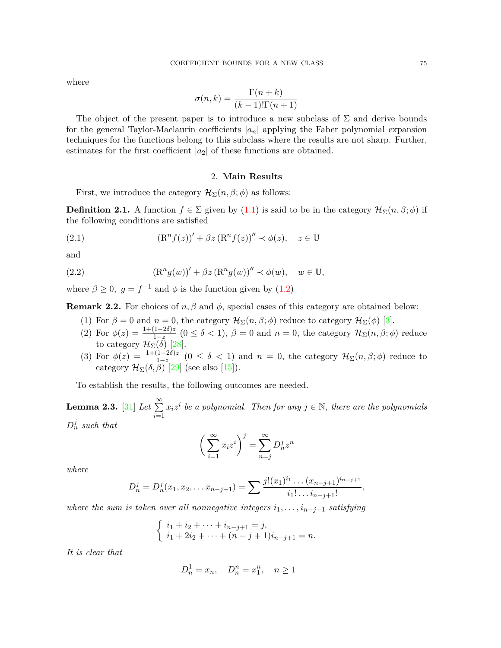where

$$
\sigma(n,k) = \frac{\Gamma(n+k)}{(k-1)!\Gamma(n+1)}
$$

The object of the present paper is to introduce a new subclass of  $\Sigma$  and derive bounds for the general Taylor-Maclaurin coefficients *|an|* applying the Faber polynomial expansion techniques for the functions belong to this subclass where the results are not sharp. Further, estimates for the first coefficient  $|a_2|$  of these functions are obtained.

# 2. **Main Results**

First, we introduce the category  $\mathcal{H}_{\Sigma}(n,\beta;\phi)$  as follows:

<span id="page-2-1"></span>**Definition 2.1.** A function  $f \in \Sigma$  given by ([1.1\)](#page-0-0) is said to be in the category  $\mathcal{H}_{\Sigma}(n, \beta; \phi)$  if the following conditions are satisfied

(2.1) 
$$
(\mathbf{R}^n f(z))' + \beta z (\mathbf{R}^n f(z))'' \prec \phi(z), \quad z \in \mathbb{U}
$$

and

(2.2) 
$$
(\mathbf{R}^n g(w))' + \beta z (\mathbf{R}^n g(w))'' \prec \phi(w), \quad w \in \mathbb{U},
$$

where  $\beta \geq 0$ ,  $g = f^{-1}$  and  $\phi$  is the function given by [\(1.2](#page-0-1))

**Remark 2.2.** For choices of *n, β* and  $\phi$ , special cases of this category are obtained below:

- (1) For  $\beta = 0$  and  $n = 0$ , the category  $\mathcal{H}_{\Sigma}(n, \beta; \phi)$  reduce to category  $\mathcal{H}_{\Sigma}(\phi)$  [\[3\]](#page-8-7).
- (2) For  $\phi(z) = \frac{1+(1-2\delta)z}{1-z}$   $(0 \le \delta < 1)$ ,  $\beta = 0$  and  $n = 0$ , the category  $\mathcal{H}_{\Sigma}(n, \beta; \phi)$  reduce  $\text{for } \varphi(z) = \frac{1-z}{1-z}$  (contract to category  $\mathcal{H}_{\Sigma}(\delta)$  [[28\]](#page-9-4).
- (3) For  $\phi(z) = \frac{1+(1-2\delta)z}{1-z}$  ( $0 \le \delta < 1$ ) and  $n = 0$ , the category  $\mathcal{H}_{\Sigma}(n, \beta; \phi)$  reduce to category  $\mathcal{H}_{\Sigma}(\delta,\beta)$  [[29](#page-9-12)] (see also [[15\]](#page-9-17)).

To establish the results, the following outcomes are needed.

<span id="page-2-0"></span>**Lemma 2.3.** [[31\]](#page-9-18) *Let* <sup>∑</sup>*<sup>∞</sup> i*=1  $x_i z^i$  be a polynomial. Then for any  $j \in \mathbb{N}$ , there are the polynomials  $D_n^j$  *such that* 

$$
\left(\sum_{i=1}^{\infty} x_i z^i\right)^j = \sum_{n=j}^{\infty} D_n^j z^n
$$

*where*

$$
D_n^j = D_n^j(x_1, x_2, \dots x_{n-j+1}) = \sum \frac{j!(x_1)^{i_1} \dots (x_{n-j+1})^{i_{n-j+1}}}{i_1! \dots i_{n-j+1}!}
$$

*,*

*where the sum is taken over all nonnegative integers*  $i_1, \ldots, i_{n-j+1}$  *satisfying* 

$$
\begin{cases} i_1 + i_2 + \dots + i_{n-j+1} = j, \\ i_1 + 2i_2 + \dots + (n-j+1)i_{n-j+1} = n. \end{cases}
$$

*It is clear that*

$$
D_n^1 = x_n, \quad D_n^n = x_1^n, \quad n \ge 1
$$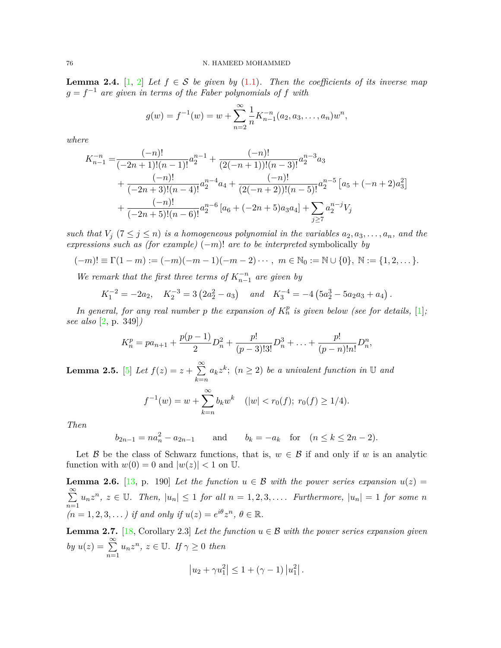<span id="page-3-1"></span>**Lemma 2.4.** [\[1,](#page-8-8) [2\]](#page-8-9) *Let*  $f \in S$  *be given by* ([1.1\)](#page-0-0)*. Then the coefficients of its inverse map g* = *f <sup>−</sup>*<sup>1</sup> *are given in terms of the Faber polynomials of f with*

$$
g(w) = f^{-1}(w) = w + \sum_{n=2}^{\infty} \frac{1}{n} K_{n-1}^{-n}(a_2, a_3, \dots, a_n) w^n,
$$

*where*

$$
K_{n-1}^{-n} = \frac{(-n)!}{(-2n+1)!(n-1)!}a_2^{n-1} + \frac{(-n)!}{(2(-n+1))!(n-3)!}a_2^{n-3}a_3
$$
  
+ 
$$
\frac{(-n)!}{(-2n+3)!(n-4)!}a_2^{n-4}a_4 + \frac{(-n)!}{(2(-n+2))!(n-5)!}a_2^{n-5} [a_5 + (-n+2)a_3^2]
$$
  
+ 
$$
\frac{(-n)!}{(-2n+5)!(n-6)!}a_2^{n-6} [a_6 + (-2n+5)a_3a_4] + \sum_{j \ge 7} a_2^{n-j}V_j
$$

*such that*  $V_j$  ( $7 \leq j \leq n$ ) *is a homogeneous polynomial in the variables*  $a_2, a_3, \ldots, a_n$ *, and the expressions such as (for example)* (*−m*)! *are to be interpreted* symbolically *by*

$$
(-m)! \equiv \Gamma(1-m) := (-m)(-m-1)(-m-2)\cdots, \ m \in \mathbb{N}_0 := \mathbb{N} \cup \{0\}, \ \mathbb{N} := \{1, 2, \dots\}.
$$

*We remark that the first three terms of*  $K_{n-1}^{-n}$  *are given by* 

$$
K_1^{-2} = -2a_2
$$
,  $K_2^{-3} = 3(2a_2^2 - a_3)$  and  $K_3^{-4} = -4(5a_2^3 - 5a_2a_3 + a_4)$ .

*In general, for any real number p the expansion of*  $K_n^p$  *is given below (see for details,* [\[1\]](#page-8-8); *see also* [\[2,](#page-8-9) p. 349]*)*

$$
K_n^p = pa_{n+1} + \frac{p(p-1)}{2}D_n^2 + \frac{p!}{(p-3)!3!}D_n^3 + \ldots + \frac{p!}{(p-n)!n!}D_n^2,
$$

<span id="page-3-3"></span> $\textbf{Lemma 2.5.} \ \textcolor{red}{[5]}\ \textit{Let}\ f(z)=z+\textstyle\sum\limits^{\infty}_{0 \leq z \leq z}$  $\textbf{Lemma 2.5.} \ \textcolor{red}{[5]}\ \textit{Let}\ f(z)=z+\textstyle\sum\limits^{\infty}_{0 \leq z \leq z}$  $\textbf{Lemma 2.5.} \ \textcolor{red}{[5]}\ \textit{Let}\ f(z)=z+\textstyle\sum\limits^{\infty}_{0 \leq z \leq z}$ *k*=*n*  $a_k z^k$ ;  $(n \geq 2)$  *be a univalent function in* U *and* 

$$
f^{-1}(w) = w + \sum_{k=n}^{\infty} b_k w^k
$$
  $(|w| < r_0(f); r_0(f) \ge 1/4).$ 

*Then*

$$
b_{2n-1} = na_n^2 - a_{2n-1}
$$
 and  $b_k = -a_k$  for  $(n \le k \le 2n-2)$ .

Let *B* be the class of Schwarz functions, that is,  $w \in B$  if and only if *w* is an analytic function with  $w(0) = 0$  and  $|w(z)| < 1$  on U.

<span id="page-3-2"></span>**Lemma 2.6.** [\[13](#page-9-2), p. 190] Let the function  $u \in \mathcal{B}$  with the power series expansion  $u(z)$ ∑*∞ n*=1  $u_nz^n, z \in \mathbb{U}$ . Then,  $|u_n| \leq 1$  for all  $n = 1, 2, 3, \ldots$ . Furthermore,  $|u_n| = 1$  for some n  $(n = 1, 2, 3, \dots)$  *if and only if*  $u(z) = e^{i\theta} z^n$ ,  $\theta \in \mathbb{R}$ .

<span id="page-3-0"></span>**Lemma 2.7.** [\[18,](#page-9-10) Corollary 2.3] *Let the function*  $u \in \mathcal{B}$  *with the power series expansion given*  $by u(z) = \sum_{i=1}^{\infty}$ *n*=1  $u_n z^n$ ,  $z \in \mathbb{U}$ *. If*  $\gamma \geq 0$  *then* 

$$
|u_2 + \gamma u_1^2| \leq 1 + (\gamma - 1) |u_1^2|.
$$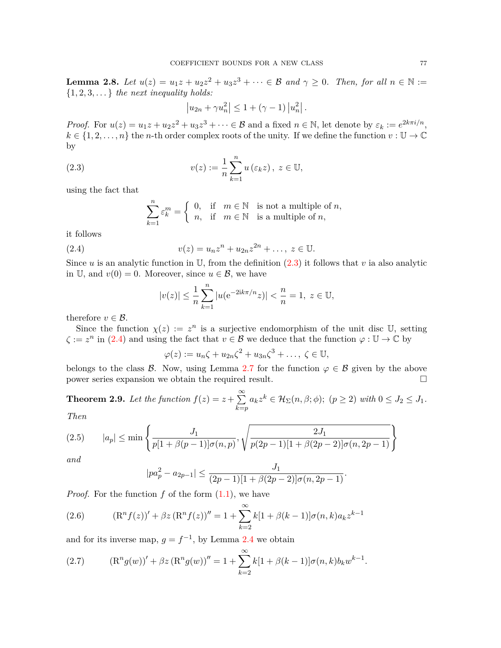<span id="page-4-4"></span>**Lemma 2.8.** *Let*  $u(z) = u_1z + u_2z^2 + u_3z^3 + \cdots \in \mathcal{B}$  and  $\gamma \geq 0$ . Then, for all  $n \in \mathbb{N} :=$ *{*1*,* 2*,* 3*, . . . } the next inequality holds:*

<span id="page-4-0"></span>
$$
|u_{2n} + \gamma u_n^2| \leq 1 + (\gamma - 1) |u_n^2|.
$$

*Proof.* For  $u(z) = u_1 z + u_2 z^2 + u_3 z^3 + \cdots \in \mathcal{B}$  and a fixed  $n \in \mathbb{N}$ , let denote by  $\varepsilon_k := e^{2k\pi i/n}$ ,  $k \in \{1, 2, \ldots, n\}$  the *n*-th order complex roots of the unity. If we define the function  $v : \mathbb{U} \to \mathbb{C}$ by

(2.3) 
$$
v(z) := \frac{1}{n} \sum_{k=1}^{n} u(\varepsilon_k z), \ z \in \mathbb{U},
$$

using the fact that

$$
\sum_{k=1}^{n} \varepsilon_k^m = \begin{cases} 0, & \text{if } m \in \mathbb{N} \text{ is not a multiple of } n, \\ n, & \text{if } m \in \mathbb{N} \text{ is a multiple of } n, \end{cases}
$$

it follows

(2.4) 
$$
v(z) = u_n z^n + u_{2n} z^{2n} + \dots, \ z \in \mathbb{U}.
$$

Since *u* is an analytic function in U, from the definition  $(2.3)$  $(2.3)$  it follows that *v* ia also analytic in U, and  $v(0) = 0$ . Moreover, since  $u \in \mathcal{B}$ , we have

<span id="page-4-1"></span>
$$
|v(z)| \le \frac{1}{n} \sum_{k=1}^{n} |u(e^{-2ik\pi/n}z)| < \frac{n}{n} = 1, \ z \in \mathbb{U},
$$

therefore  $v \in \mathcal{B}$ .

Since the function  $\chi(z) := z^n$  is a surjective endomorphism of the unit disc U, setting  $\zeta := z^n$  in ([2.4\)](#page-4-1) and using the fact that  $v \in \mathcal{B}$  we deduce that the function  $\varphi : \mathbb{U} \to \mathbb{C}$  by

$$
\varphi(z) := u_n \zeta + u_{2n} \zeta^2 + u_{3n} \zeta^3 + \dots, \ \zeta \in \mathbb{U},
$$

belongs to the class *B*. Now, using Lemma [2.7](#page-3-0) for the function  $\varphi \in \mathcal{B}$  given by the above power series expansion we obtain the required result. □

<span id="page-4-6"></span>**Theorem 2.9.** Let the function  $f(z) = z + \sum_{n=1}^{\infty}$ *k*=*p*  $a_k z^k \in \mathcal{H}_\Sigma(n, \beta; \phi); (p \geq 2) \text{ with } 0 \leq J_2 \leq J_1.$ *Then*

<span id="page-4-5"></span>
$$
(2.5) \qquad |a_p| \le \min\left\{\frac{J_1}{p[1+\beta(p-1)]\sigma(n,p)}, \sqrt{\frac{2J_1}{p(2p-1)[1+\beta(2p-2)]\sigma(n,2p-1)}}\right\}
$$

*and*

$$
|pa_p^2 - a_{2p-1}| \le \frac{J_1}{(2p-1)[1 + \beta(2p-2)]\sigma(n, 2p-1)}.
$$

*Proof.* For the function f of the form  $(1.1)$  $(1.1)$ , we have

<span id="page-4-2"></span>(2.6) 
$$
(\mathrm{R}^n f(z))' + \beta z (\mathrm{R}^n f(z))'' = 1 + \sum_{k=2}^{\infty} k[1 + \beta(k-1)]\sigma(n,k)a_k z^{k-1}
$$

and for its inverse map,  $g = f^{-1}$ , by Lemma [2.4](#page-3-1) we obtain

<span id="page-4-3"></span>(2.7) 
$$
(\mathrm{R}^n g(w))' + \beta z (\mathrm{R}^n g(w))'' = 1 + \sum_{k=2}^{\infty} k[1 + \beta(k-1)]\sigma(n,k)b_k w^{k-1}.
$$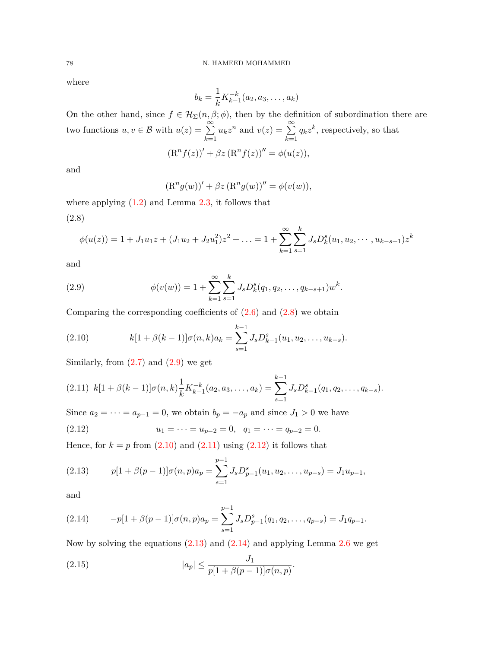where

$$
b_k = \frac{1}{k} K_{k-1}^{-k}(a_2, a_3, \dots, a_k)
$$

On the other hand, since  $f \in \mathcal{H}_{\Sigma}(n, \beta; \phi)$ , then by the definition of subordination there are two functions  $u, v \in \mathcal{B}$  with  $u(z) = \sum_{n=0}^{\infty}$ *k*=1  $u_k z^n$  and  $v(z) = \sum_{k=0}^{\infty} a_k$ *k*=1  $q_k z^k$ , respectively, so that  $(R^n f(z))' + \beta z (R^n f(z))'' = \phi(u(z)),$ 

and

$$
(\mathrm{R}^n g(w))' + \beta z (\mathrm{R}^n g(w))'' = \phi(v(w)),
$$

<span id="page-5-0"></span>where applying  $(1.2)$  $(1.2)$  and Lemma  $2.3$ , it follows that (2.8)

$$
\phi(u(z)) = 1 + J_1 u_1 z + (J_1 u_2 + J_2 u_1^2) z^2 + \ldots = 1 + \sum_{k=1}^{\infty} \sum_{s=1}^k J_s D_k^s (u_1, u_2, \cdots, u_{k-s+1}) z^k
$$

and

<span id="page-5-1"></span>(2.9) 
$$
\phi(v(w)) = 1 + \sum_{k=1}^{\infty} \sum_{s=1}^{k} J_s D_k^s(q_1, q_2, \dots, q_{k-s+1}) w^k.
$$

Comparing the corresponding coefficients of  $(2.6)$  $(2.6)$  and  $(2.8)$  we obtain

<span id="page-5-2"></span>(2.10) 
$$
k[1+\beta(k-1)]\sigma(n,k)a_k = \sum_{s=1}^{k-1} J_s D_{k-1}^s(u_1, u_2, \dots, u_{k-s}).
$$

Similarly, from  $(2.7)$  $(2.7)$  and  $(2.9)$  $(2.9)$  we get

<span id="page-5-3"></span>
$$
(2.11) \ \ k[1 + \beta(k-1)]\sigma(n,k)\frac{1}{k}K_{k-1}^{-k}(a_2,a_3,\ldots,a_k) = \sum_{s=1}^{k-1} J_s D_{k-1}^s(q_1,q_2,\ldots,q_{k-s}).
$$

Since  $a_2 = \cdots = a_{p-1} = 0$ , we obtain  $b_p = -a_p$  and since  $J_1 > 0$  we have

<span id="page-5-4"></span>(2.12) 
$$
u_1 = \cdots = u_{p-2} = 0, \quad q_1 = \cdots = q_{p-2} = 0.
$$

Hence, for  $k = p$  from  $(2.10)$  $(2.10)$  $(2.10)$  and  $(2.11)$  $(2.11)$  using  $(2.12)$  $(2.12)$  $(2.12)$  it follows that

<span id="page-5-5"></span>(2.13) 
$$
p[1 + \beta(p-1)]\sigma(n,p)a_p = \sum_{s=1}^{p-1} J_s D_{p-1}^s (u_1, u_2, \dots, u_{p-s}) = J_1 u_{p-1},
$$

and

<span id="page-5-6"></span>(2.14) 
$$
-p[1+\beta(p-1)]\sigma(n,p)a_p = \sum_{s=1}^{p-1} J_s D_{p-1}^s(q_1,q_2,\ldots,q_{p-s}) = J_1 q_{p-1}.
$$

Now by solving the equations ([2.13](#page-5-5)) and [\(2.14\)](#page-5-6) and applying Lemma [2.6](#page-3-2) we get

<span id="page-5-7"></span>(2.15) 
$$
|a_p| \leq \frac{J_1}{p[1 + \beta(p-1)]\sigma(n, p)}.
$$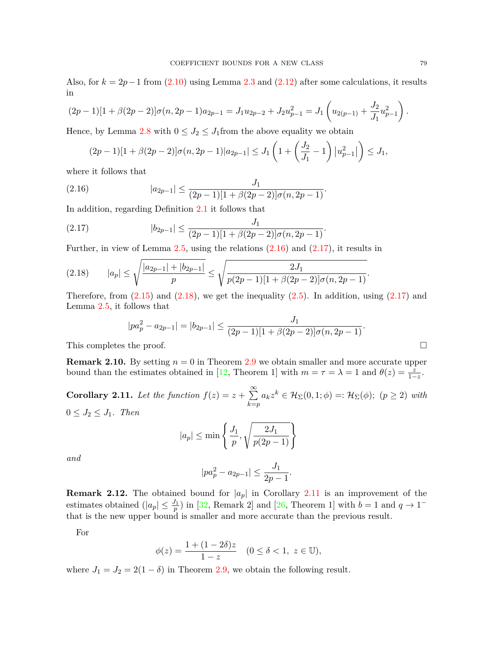Also, for  $k = 2p - 1$  from ([2.10](#page-5-2)) using Lemma [2.3](#page-2-0) and ([2.12](#page-5-4)) after some calculations, it results in

$$
(2p-1)[1 + \beta(2p-2)]\sigma(n, 2p-1)a_{2p-1} = J_1u_{2p-2} + J_2u_{p-1}^2 = J_1\left(u_{2(p-1)} + \frac{J_2}{J_1}u_{p-1}^2\right).
$$

Hence, by Lemma [2.8](#page-4-4) with  $0 \leq J_2 \leq J_1$  from the above equality we obtain

<span id="page-6-0"></span>
$$
(2p-1)[1 + \beta(2p-2)]\sigma(n, 2p-1)|a_{2p-1}| \le J_1\left(1 + \left(\frac{J_2}{J_1} - 1\right)|u_{p-1}^2|\right) \le J_1,
$$

where it follows that

(2.16) 
$$
|a_{2p-1}| \leq \frac{J_1}{(2p-1)[1+\beta(2p-2)]\sigma(n,2p-1)}.
$$

In addition, regarding Definition [2.1](#page-2-1) it follows that

<span id="page-6-1"></span>(2.17) 
$$
|b_{2p-1}| \leq \frac{J_1}{(2p-1)[1+\beta(2p-2)]\sigma(n,2p-1)}.
$$

Further, in view of Lemma [2.5,](#page-3-3) using the relations [\(2.16\)](#page-6-0) and [\(2.17\)](#page-6-1), it results in

<span id="page-6-2"></span>
$$
(2.18) \qquad |a_p| \le \sqrt{\frac{|a_{2p-1}| + |b_{2p-1}|}{p}} \le \sqrt{\frac{2J_1}{p(2p-1)[1 + \beta(2p-2)]\sigma(n, 2p-1)}}.
$$

Therefore, from  $(2.15)$  $(2.15)$  and  $(2.18)$ , we get the inequality  $(2.5)$  $(2.5)$ . In addition, using  $(2.17)$  $(2.17)$  $(2.17)$  and Lemma [2.5,](#page-3-3) it follows that

$$
|pa_p^2 - a_{2p-1}| = |b_{2p-1}| \le \frac{J_1}{(2p-1)[1 + \beta(2p-2)]\sigma(n, 2p-1)}.
$$
  
This completes the proof.

**Remark 2.10.** By setting  $n = 0$  in Theorem [2.9](#page-4-6) we obtain smaller and more accurate upper bound than the estimates obtained in [[12](#page-9-19), Theorem 1] with  $m = \tau = \lambda = 1$  and  $\theta(z) = \frac{z}{1-z}$ .

<span id="page-6-3"></span>**Corollary 2.11.** Let the function  $f(z) = z + \sum_{n=1}^{\infty}$ *k*=*p*  $a_k z^k \in \mathcal{H}_\Sigma(0,1;\phi) =: \mathcal{H}_\Sigma(\phi);$  (*p*  $\geq$  2) *with*  $0 \leq J_2 \leq J_1$ *. Then* 

$$
|a_p| \le \min\left\{\frac{J_1}{p}, \sqrt{\frac{2J_1}{p(2p-1)}}\right\}
$$

*and*

$$
|pa_p^2 - a_{2p-1}| \le \frac{J_1}{2p-1}.
$$

**Remark 2.12.** The obtained bound for  $|a_p|$  in Corollary [2.11](#page-6-3) is an improvement of the estimates obtained  $(|a_p| \leq \frac{J_1}{p})$  in [\[32](#page-9-20), Remark 2] and [[26,](#page-9-11) Theorem 1] with  $b = 1$  and  $q \to 1^$ that is the new upper bound is smaller and more accurate than the previous result.

For

$$
\phi(z) = \frac{1 + (1 - 2\delta)z}{1 - z} \quad (0 \le \delta < 1, \ z \in \mathbb{U}),
$$

where  $J_1 = J_2 = 2(1 - \delta)$  in Theorem [2.9,](#page-4-6) we obtain the following result.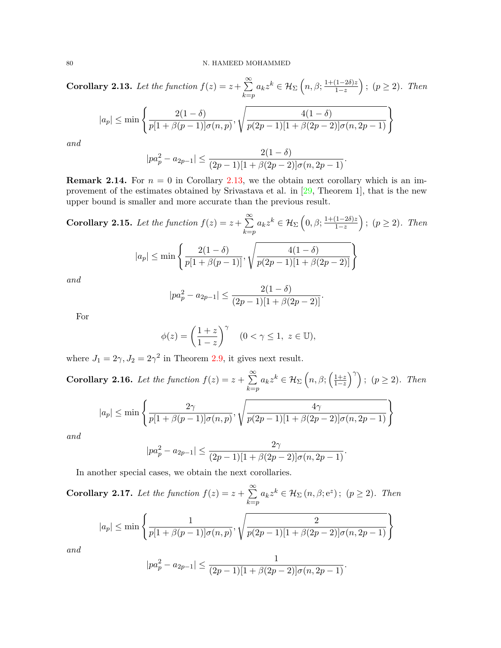<span id="page-7-0"></span>**Corollary 2.13.** Let the function  $f(z) = z + \sum_{n=1}^{\infty}$ *k*=*p*  $a_k z^k \in \mathcal{H}_\Sigma$   $\left(n, \beta; \frac{1+(1-2\delta)z}{1-z}\right)$ 1*−z*  $(k)$ ;  $(p \geq 2)$ *. Then*  $|a_p|$  ≤ min  $\frac{2(1-\delta)}{2}$  $\frac{2(1-\theta)}{p[1+\beta(p-1)]\sigma(n,p)},$  $\sqrt{\frac{4(1-\delta)}{p(2p-1)[1+\beta(2p-2)]\sigma(n,2p-1)}}$ *and*

$$
|pa_p^2 - a_{2p-1}| \le \frac{2(1-\delta)}{(2p-1)[1+\beta(2p-2)]\sigma(n, 2p-1)}.
$$

**Remark 2.14.** For  $n = 0$  in Corollary [2.13,](#page-7-0) we the obtain next corollary which is an improvement of the estimates obtained by Srivastava et al. in [[29,](#page-9-12) Theorem 1], that is the new upper bound is smaller and more accurate than the previous result.

**Corollary 2.15.** Let the function 
$$
f(z) = z + \sum_{k=p}^{\infty} a_k z^k \in \mathcal{H}_{\Sigma} \left(0, \beta; \frac{1+(1-2\delta)z}{1-z}\right); (p \ge 2)
$$
. Then

$$
|a_p| \le \min\left\{\frac{2(1-\delta)}{p[1+\beta(p-1)]}, \sqrt{\frac{4(1-\delta)}{p(2p-1)[1+\beta(2p-2)]}}\right\}
$$

*and*

$$
|pa_p^2 - a_{2p-1}| \le \frac{2(1-\delta)}{(2p-1)[1+\beta(2p-2)]}.
$$

For

$$
\phi(z) = \left(\frac{1+z}{1-z}\right)^{\gamma} \quad (0 < \gamma \le 1, \ z \in \mathbb{U}),
$$

where  $J_1 = 2\gamma$ ,  $J_2 = 2\gamma^2$  in Theorem [2.9,](#page-4-6) it gives next result.

**Corollary 2.16.** *Let the function*  $f(z) = z + \sum_{n=1}^{\infty}$ *k*=*p*  $a_k z^k \in \mathcal{H}_\Sigma$   $\left(n, \beta; \left(\frac{1+z}{1-z}\right)\right)$ 1*−z*  $\binom{\gamma}{r}$ ;  $(p \geq 2)$ *. Then* √

$$
|a_p| \le \min\left\{\frac{2\gamma}{p[1+\beta(p-1)]\sigma(n,p)}, \sqrt{\frac{4\gamma}{p(2p-1)[1+\beta(2p-2)]\sigma(n,2p-1)}}\right\}
$$

*and*

$$
|pa_p^2 - a_{2p-1}| \le \frac{2\gamma}{(2p-1)[1 + \beta(2p-2)]\sigma(n, 2p-1)}.
$$

In another special cases, we obtain the next corollaries.

**Corollary 2.17.** Let the function  $f(z) = z + \sum_{n=1}^{\infty}$ *k*=*p*  $a_k z^k \in \mathcal{H}_\Sigma(n, \beta; e^z); (p \geq 2)$ *. Then* 

$$
|a_p| \le \min\left\{\frac{1}{p[1+\beta(p-1)]\sigma(n,p)}, \sqrt{\frac{2}{p(2p-1)[1+\beta(2p-2)]\sigma(n,2p-1)}}\right\}
$$

*and*

$$
|pa_p^2 - a_{2p-1}| \le \frac{1}{(2p-1)[1 + \beta(2p-2)]\sigma(n, 2p-1)}.
$$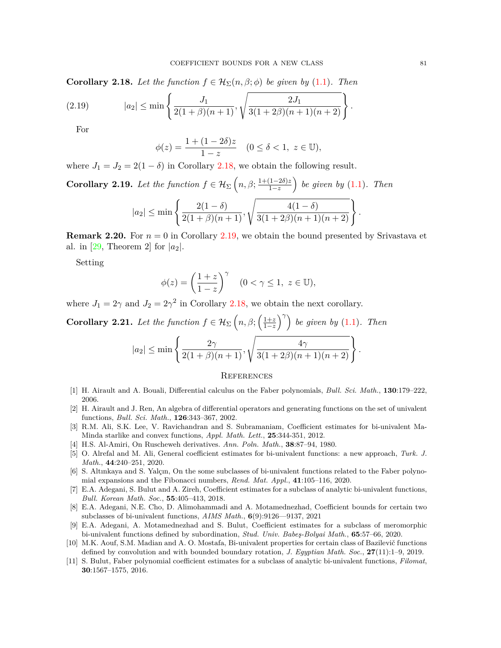<span id="page-8-11"></span>**Corollary 2.18.** Let the function  $f \in \mathcal{H}_{\Sigma}(n, \beta; \phi)$  be given by ([1.1\)](#page-0-0). Then

(2.19) 
$$
|a_2| \le \min \left\{ \frac{J_1}{2(1+\beta)(n+1)}, \sqrt{\frac{2J_1}{3(1+2\beta)(n+1)(n+2)}} \right\}.
$$

For

$$
\phi(z) = \frac{1 + (1 - 2\delta)z}{1 - z} \quad (0 \le \delta < 1, \ z \in \mathbb{U}),
$$

where  $J_1 = J_2 = 2(1 - \delta)$  in Corollary [2.18](#page-8-11), we obtain the following result.

<span id="page-8-12"></span>Corollary 2.19. Let the function 
$$
f \in \mathcal{H}_{\Sigma}\left(n, \beta; \frac{1+(1-2\delta)z}{1-z}\right)
$$
 be given by (1.1). Then  

$$
|a_2| \le \min\left\{\frac{2(1-\delta)}{2(1+\beta)(n+1)}, \sqrt{\frac{4(1-\delta)}{3(1+2\beta)(n+1)(n+2)}}\right\}.
$$

**Remark 2.20.** For  $n = 0$  in Corollary [2.19,](#page-8-12) we obtain the bound presented by Srivastava et al. in [\[29](#page-9-12), Theorem 2] for  $|a_2|$ .

Setting

$$
\phi(z) = \left(\frac{1+z}{1-z}\right)^{\gamma} \quad (0 < \gamma \le 1, \ z \in \mathbb{U}),
$$

where  $J_1 = 2\gamma$  and  $J_2 = 2\gamma^2$  in Corollary [2.18](#page-8-11), we obtain the next corollary.

**Corollary 2.21.** Let the function  $f \in \mathcal{H}_{\Sigma}$   $\left(n, \beta; \left(\frac{1+z}{1-z}\right)\right)$ 1*−z* )*γ*) *be given by* [\(1.1](#page-0-0))*. Then*

$$
|a_2| \le \min \left\{ \frac{2\gamma}{2(1+\beta)(n+1)}, \sqrt{\frac{4\gamma}{3(1+2\beta)(n+1)(n+2)}} \right\}.
$$

### **REFERENCES**

- <span id="page-8-8"></span>[1] H. Airault and A. Bouali, Differential calculus on the Faber polynomials, *Bull. Sci. Math.*, **130**:179–222, 2006.
- <span id="page-8-9"></span>[2] H. Airault and J. Ren, An algebra of differential operators and generating functions on the set of univalent functions, *Bull. Sci. Math.*, **126**:343–367, 2002.
- <span id="page-8-7"></span>[3] R.M. Ali, S.K. Lee, V. Ravichandran and S. Subramaniam, Coefficient estimates for bi-univalent Ma-Minda starlike and convex functions, *Appl. Math. Lett.*, **25**:344-351, 2012.
- <span id="page-8-6"></span>[4] H.S. Al-Amiri, On Ruscheweh derivatives. *Ann. Poln. Math.*, **38**:87–94, 1980.
- <span id="page-8-10"></span>[5] O. Alrefal and M. Ali, General coefficient estimates for bi-univalent functions: a new approach, *Turk. J. Math.*, **44**:240–251, 2020.
- <span id="page-8-1"></span>[6] S. Altınkaya and S. Yalçın, On the some subclasses of bi-univalent functions related to the Faber polynomial expansions and the Fibonacci numbers, *Rend. Mat. Appl.*, **41**:105–116, 2020.
- <span id="page-8-2"></span>[7] E.A. Adegani, S. Bulut and A. Zireh, Coefficient estimates for a subclass of analytic bi-univalent functions, *Bull. Korean Math. Soc.*, **55**:405–413, 2018.
- <span id="page-8-3"></span>[8] E.A. Adegani, N.E. Cho, D. Alimohammadi and A. Motamednezhad, Coefficient bounds for certain two subclasses of bi-univalent functions, *AIMS Math.*, **6**(9):9126—9137, 2021
- <span id="page-8-4"></span>[9] E.A. Adegani, A. Motamednezhad and S. Bulut, Coefficient estimates for a subclass of meromorphic bi-univalent functions defined by subordination, *Stud. Univ. Babeş-Bolyai Math.*, **65**:57–66, 2020.
- <span id="page-8-0"></span>[10] M.K. Aouf, S.M. Madian and A. O. Mostafa, Bi-univalent properties for certain class of Bazilevič functions defined by convolution and with bounded boundary rotation, *J. Egyptian Math. Soc.*, **27**(11):1–9, 2019.
- <span id="page-8-5"></span>[11] S. Bulut, Faber polynomial coefficient estimates for a subclass of analytic bi-univalent functions, *Filomat*, **30**:1567–1575, 2016.